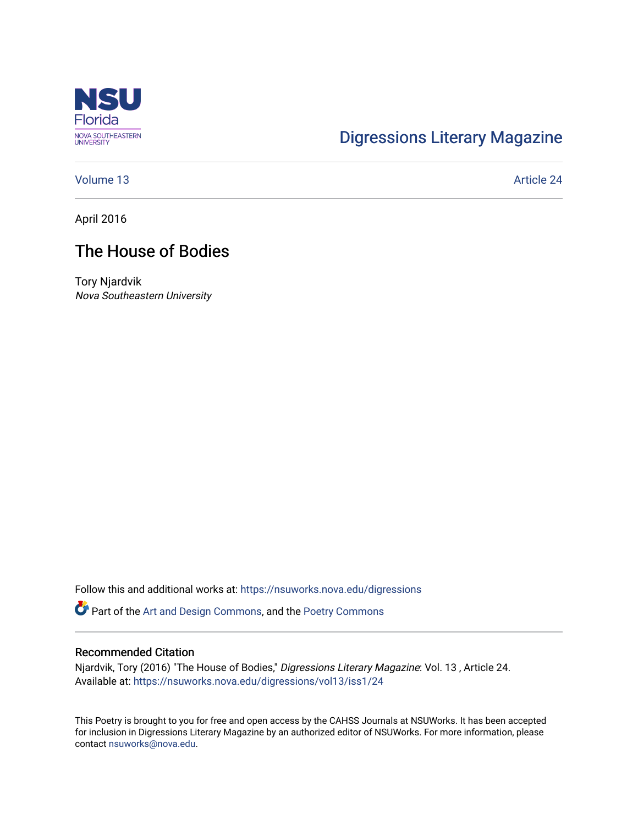

# [Digressions Literary Magazine](https://nsuworks.nova.edu/digressions)

[Volume 13](https://nsuworks.nova.edu/digressions/vol13) Article 24

April 2016

## The House of Bodies

Tory Njardvik Nova Southeastern University

Follow this and additional works at: [https://nsuworks.nova.edu/digressions](https://nsuworks.nova.edu/digressions?utm_source=nsuworks.nova.edu%2Fdigressions%2Fvol13%2Fiss1%2F24&utm_medium=PDF&utm_campaign=PDFCoverPages) 

Part of the [Art and Design Commons](http://network.bepress.com/hgg/discipline/1049?utm_source=nsuworks.nova.edu%2Fdigressions%2Fvol13%2Fiss1%2F24&utm_medium=PDF&utm_campaign=PDFCoverPages), and the [Poetry Commons](http://network.bepress.com/hgg/discipline/1153?utm_source=nsuworks.nova.edu%2Fdigressions%2Fvol13%2Fiss1%2F24&utm_medium=PDF&utm_campaign=PDFCoverPages) 

### Recommended Citation

Njardvik, Tory (2016) "The House of Bodies," Digressions Literary Magazine: Vol. 13 , Article 24. Available at: [https://nsuworks.nova.edu/digressions/vol13/iss1/24](https://nsuworks.nova.edu/digressions/vol13/iss1/24?utm_source=nsuworks.nova.edu%2Fdigressions%2Fvol13%2Fiss1%2F24&utm_medium=PDF&utm_campaign=PDFCoverPages)

This Poetry is brought to you for free and open access by the CAHSS Journals at NSUWorks. It has been accepted for inclusion in Digressions Literary Magazine by an authorized editor of NSUWorks. For more information, please contact [nsuworks@nova.edu.](mailto:nsuworks@nova.edu)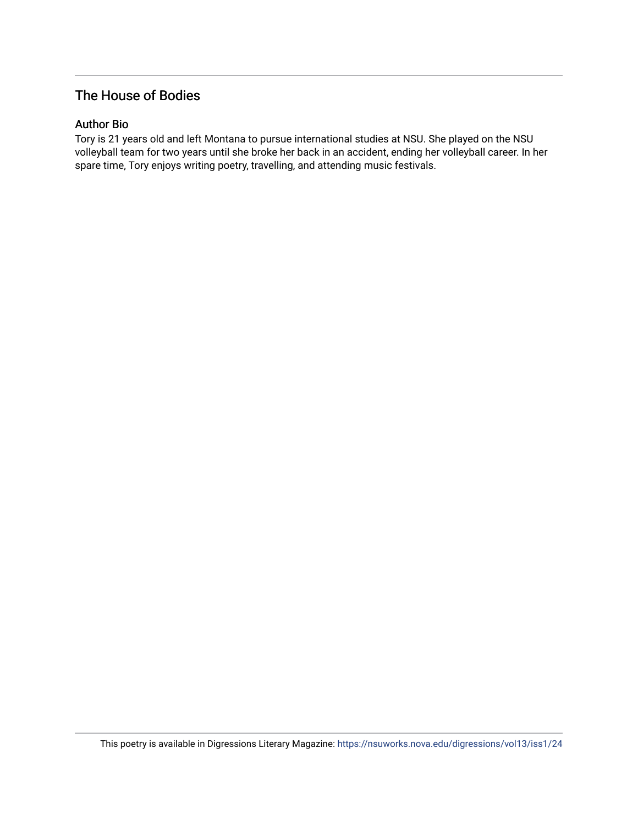## The House of Bodies

### Author Bio

Tory is 21 years old and left Montana to pursue international studies at NSU. She played on the NSU volleyball team for two years until she broke her back in an accident, ending her volleyball career. In her spare time, Tory enjoys writing poetry, travelling, and attending music festivals.